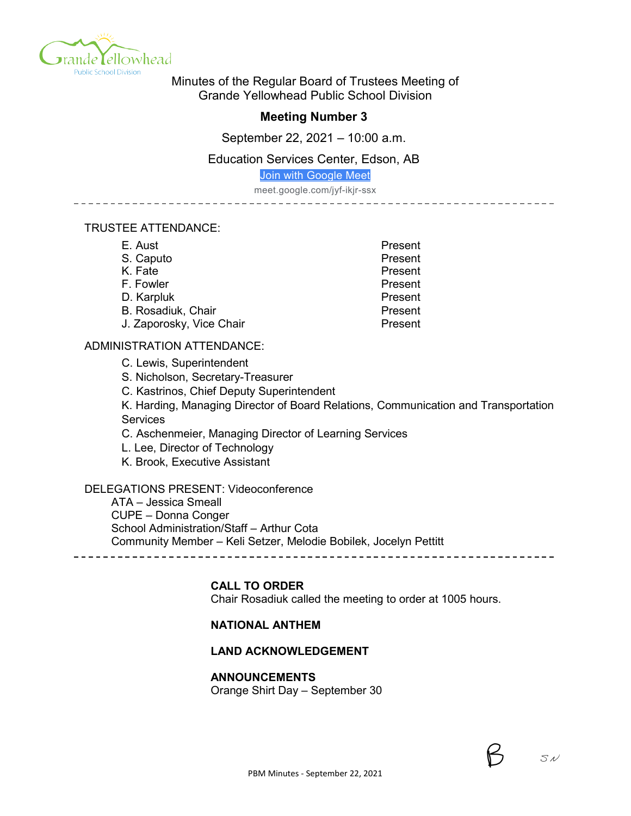

Minutes of the Regular Board of Trustees Meeting of Grande Yellowhead Public School Division

# **Meeting Number 3**

September 22, 2021 – 10:00 a.m.

### Education Services Center, Edson, AB

[Join with Google Meet](https://meet.google.com/jyf-ikjr-ssx?authuser=0&hs=122)

meet.google.com/jyf-ikjr-ssx

------------

### TRUSTEE ATTENDANCE:

| E. Aust                   | Present |
|---------------------------|---------|
| S. Caputo                 | Present |
| K. Fate                   | Present |
| F. Fowler                 | Present |
| D. Karpluk                | Present |
| <b>B. Rosadiuk, Chair</b> | Present |
| J. Zaporosky, Vice Chair  | Present |

### ADMINISTRATION ATTENDANCE:

C. Lewis, Superintendent

S. Nicholson, Secretary-Treasurer

C. Kastrinos, Chief Deputy Superintendent

K. Harding, Managing Director of Board Relations, Communication and Transportation Services

C. Aschenmeier, Managing Director of Learning Services

L. Lee, Director of Technology

K. Brook, Executive Assistant

## DELEGATIONS PRESENT: Videoconference

ATA – Jessica Smeall CUPE – Donna Conger School Administration/Staff – Arthur Cota Community Member – Keli Setzer, Melodie Bobilek, Jocelyn Pettitt

### **CALL TO ORDER**

Chair Rosadiuk called the meeting to order at 1005 hours.

### **NATIONAL ANTHEM**

### **LAND ACKNOWLEDGEMENT**

### **ANNOUNCEMENTS**

Orange Shirt Day – September 30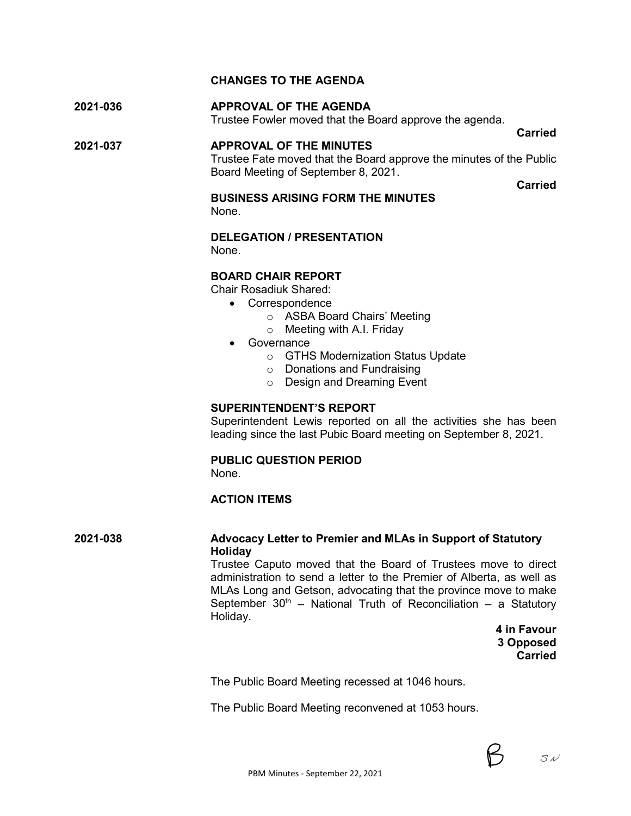# **CHANGES TO THE AGENDA**

**2021-036 APPROVAL OF THE AGENDA** Trustee Fowler moved that the Board approve the agenda.

**2021-037 APPROVAL OF THE MINUTES** Trustee Fate moved that the Board approve the minutes of the Public Board Meeting of September 8, 2021.

**Carried**

**Carried**

#### **BUSINESS ARISING FORM THE MINUTES** None.

**DELEGATION / PRESENTATION**

None.

### **BOARD CHAIR REPORT**

Chair Rosadiuk Shared:

- Correspondence
	- o ASBA Board Chairs' Meeting
	- o Meeting with A.I. Friday
- Governance
	- o GTHS Modernization Status Update
	- o Donations and Fundraising
	- o Design and Dreaming Event

### **SUPERINTENDENT'S REPORT**

Superintendent Lewis reported on all the activities she has been leading since the last Pubic Board meeting on September 8, 2021.

## **PUBLIC QUESTION PERIOD**

None.

# **ACTION ITEMS**

## **2021-038 Advocacy Letter to Premier and MLAs in Support of Statutory Holiday**

Trustee Caputo moved that the Board of Trustees move to direct administration to send a letter to the Premier of Alberta, as well as MLAs Long and Getson, advocating that the province move to make September  $30<sup>th</sup>$  – National Truth of Reconciliation – a Statutory Holiday.

> **4 in Favour 3 Opposed Carried**

The Public Board Meeting recessed at 1046 hours.

The Public Board Meeting reconvened at 1053 hours.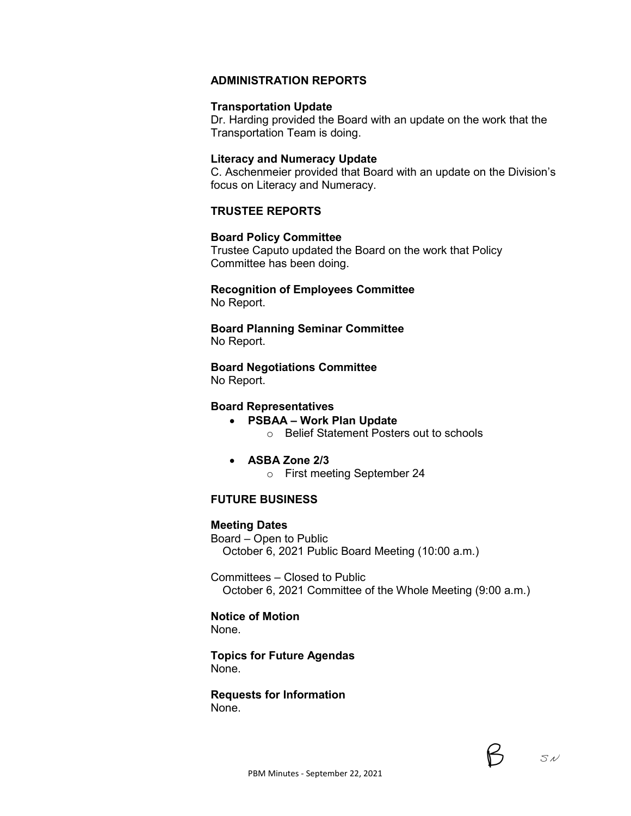# **ADMINISTRATION REPORTS**

#### **Transportation Update**

Dr. Harding provided the Board with an update on the work that the Transportation Team is doing.

### **Literacy and Numeracy Update**

C. Aschenmeier provided that Board with an update on the Division's focus on Literacy and Numeracy.

# **TRUSTEE REPORTS**

#### **Board Policy Committee**

Trustee Caputo updated the Board on the work that Policy Committee has been doing.

### **Recognition of Employees Committee** No Report.

**Board Planning Seminar Committee** No Report.

**Board Negotiations Committee** No Report.

#### **Board Representatives**

- **PSBAA – Work Plan Update**
	- o Belief Statement Posters out to schools
- **ASBA Zone 2/3**
	- o First meeting September 24

# **FUTURE BUSINESS**

### **Meeting Dates**

Board – Open to Public October 6, 2021 Public Board Meeting (10:00 a.m.)

Committees – Closed to Public October 6, 2021 Committee of the Whole Meeting (9:00 a.m.)

### **Notice of Motion**

None.

**Topics for Future Agendas** None.

#### **Requests for Information** None.

 $Syl$